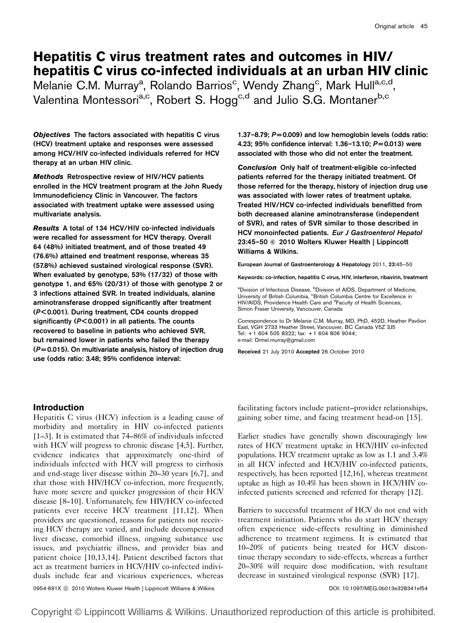# Hepatitis C virus treatment rates and outcomes in HIV/ hepatitis C virus co-infected individuals at an urban HIV clinic

Melanie C.M. Murray<sup>a</sup>, Rolando Barrios<sup>c</sup>, Wendy Zhang<sup>c</sup>, Mark Hull<sup>a,c,d</sup>, Valentina Montessori<sup>a,c</sup>, Robert S. Hogg<sup>c,d</sup> and Julio S.G. Montaner<sup>b,c</sup>

Objectives The factors associated with hepatitis C virus (HCV) treatment uptake and responses were assessed among HCV/HIV co-infected individuals referred for HCV therapy at an urban HIV clinic.

Methods Retrospective review of HIV/HCV patients enrolled in the HCV treatment program at the John Ruedy Immunodeficiency Clinic in Vancouver. The factors associated with treatment uptake were assessed using multivariate analysis.

Results A total of 134 HCV/HIV co-infected individuals were recalled for assessment for HCV therapy. Overall 64 (48%) initiated treatment, and of those treated 49 (76.6%) attained end treatment response, whereas 35 (57.8%) achieved sustained virological response (SVR). When evaluated by genotype, 53% (17/32) of those with genotype 1, and 65% (20/31) of those with genotype 2 or 3 infections attained SVR. In treated individuals, alanine aminotransferase dropped significantly after treatment (P < 0.001). During treatment, CD4 counts dropped significantly ( $P < 0.001$ ) in all patients. The counts recovered to baseline in patients who achieved SVR, but remained lower in patients who failed the therapy  $(P = 0.015)$ . On multivariate analysis, history of injection drug use (odds ratio: 3.48; 95% confidence interval:

1.37–8.79;  $P = 0.009$ ) and low hemoglobin levels (odds ratio: 4.23; 95% confidence interval: 1.36–13.10; P= 0.013) were associated with those who did not enter the treatment.

Conclusion Only half of treatment-eligible co-infected patients referred for the therapy initiated treatment. Of those referred for the therapy, history of injection drug use was associated with lower rates of treatment uptake. Treated HIV/HCV co-infected individuals benefitted from both decreased alanine aminotransferase (independent of SVR), and rates of SVR similar to those described in HCV monoinfected patients. Eur J Gastroenterol Hepatol 23:45-50 © 2010 Wolters Kluwer Health | Lippincott Williams & Wilkins.

European Journal of Gastroenterology & Hepatology 2011, 23:45–50

Keywords: co-infection, hepatitis C virus, HIV, interferon, ribavirin, treatment

<sup>a</sup>Division of Infectious Disease, <sup>b</sup>Division of AIDS, Department of Medicine, University of British Columbia, <sup>c</sup>British Columbia Centre for Excellence in HIV/AIDS, Providence Health Care and <sup>d</sup>Faculty of Health Sciences, Simon Fraser University, Vancouver, Canada

Correspondence to Dr Melanie C.M. Murray, MD, PhD, 452D, Heather Pavilion East, VGH 2733 Heather Street, Vancouver, BC Canada V5Z 3J5 Tel: + 1 604 505 8322; fax: + 1 604 806 9044; e-mail: Drmel.murray@gmail.com

Received 21 July 2010 Accepted 26 October 2010

#### Introduction

Hepatitis C virus (HCV) infection is a leading cause of morbidity and mortality in HIV co-infected patients [1–3]. It is estimated that 74–86% of individuals infected with HCV will progress to chronic disease [4,5]. Further, evidence indicates that approximately one-third of individuals infected with HCV will progress to cirrhosis and end-stage liver disease within 20–30 years [6,7], and that those with HIV/HCV co-infection, more frequently, have more severe and quicker progression of their HCV disease [8–10]. Unfortunately, few HIV/HCV co-infected patients ever receive HCV treatment [11,12]. When providers are questioned, reasons for patients not receiving HCV therapy are varied, and include decompensated liver disease, comorbid illness, ongoing substance use issues, and psychiatric illness, and provider bias and patient choice [10,13,14]. Patient described factors that act as treatment barriers in HCV/HIV co-infected individuals include fear and vicarious experiences, whereas

facilitating factors include patient–provider relationships, gaining sober time, and facing treatment head-on [15].

Earlier studies have generally shown discouragingly low rates of HCV treatment uptake in HCV/HIV co-infected populations. HCV treatment uptake as low as 1.1 and 3.4% in all HCV infected and HCV/HIV co-infected patients, respectively, has been reported [12,16], whereas treatment uptake as high as 10.4% has been shown in HCV/HIV coinfected patients screened and referred for therapy [12].

Barriers to successful treatment of HCV do not end with treatment initiation. Patients who do start HCV therapy often experience side-effects resulting in diminished adherence to treatment regimens. It is estimated that 10–20% of patients being treated for HCV discontinue therapy secondary to side-effects, whereas a further 20–30% will require dose modification, with resultant decrease in sustained virological response (SVR) [17].

0954-691X ⓒ 2010 Wolters Kluwer Health | Lippincott Williams & Wilkins **DOI: 10.1097/MEG.0b013e328341ef54** 

Copyright © Lippincott Williams & Wilkins. Unauthorized reproduction of this article is prohibited.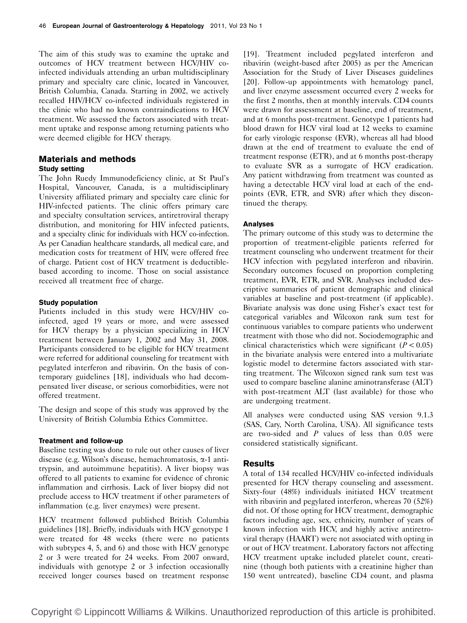The aim of this study was to examine the uptake and outcomes of HCV treatment between HCV/HIV coinfected individuals attending an urban multidisciplinary primary and specialty care clinic, located in Vancouver, British Columbia, Canada. Starting in 2002, we actively recalled HIV/HCV co-infected individuals registered in the clinic who had no known contraindications to HCV treatment. We assessed the factors associated with treatment uptake and response among returning patients who were deemed eligible for HCV therapy.

## Materials and methods Study setting

The John Ruedy Immunodeficiency clinic, at St Paul's Hospital, Vancouver, Canada, is a multidisciplinary University affiliated primary and specialty care clinic for HIV-infected patients. The clinic offers primary care and specialty consultation services, antiretroviral therapy distribution, and monitoring for HIV infected patients, and a specialty clinic for individuals with HCV co-infection. As per Canadian healthcare standards, all medical care, and medication costs for treatment of HIV, were offered free of charge. Patient cost of HCV treatment is deductiblebased according to income. Those on social assistance received all treatment free of charge.

#### Study population

Patients included in this study were HCV/HIV coinfected, aged 19 years or more, and were assessed for HCV therapy by a physician specializing in HCV treatment between January 1, 2002 and May 31, 2008. Participants considered to be eligible for HCV treatment were referred for additional counseling for treatment with pegylated interferon and ribavirin. On the basis of contemporary guidelines [18], individuals who had decompensated liver disease, or serious comorbidities, were not offered treatment.

The design and scope of this study was approved by the University of British Columbia Ethics Committee.

#### Treatment and follow-up

Baseline testing was done to rule out other causes of liver disease (e.g. Wilson's disease, hemachromatosis, a-1 antitrypsin, and autoimmune hepatitis). A liver biopsy was offered to all patients to examine for evidence of chronic inflammation and cirrhosis. Lack of liver biopsy did not preclude access to HCV treatment if other parameters of inflammation (e.g. liver enzymes) were present.

HCV treatment followed published British Columbia guidelines [18]. Briefly, individuals with HCV genotype 1 were treated for 48 weeks (there were no patients with subtypes 4, 5, and 6) and those with HCV genotype 2 or 3 were treated for 24 weeks. From 2007 onward, individuals with genotype 2 or 3 infection occasionally received longer courses based on treatment response

[19]. Treatment included pegylated interferon and ribavirin (weight-based after 2005) as per the American Association for the Study of Liver Diseases guidelines [20]. Follow-up appointments with hematology panel, and liver enzyme assessment occurred every 2 weeks for the first 2 months, then at monthly intervals. CD4 counts were drawn for assessment at baseline, end of treatment, and at 6 months post-treatment. Genotype 1 patients had blood drawn for HCV viral load at 12 weeks to examine for early virologic response (EVR), whereas all had blood drawn at the end of treatment to evaluate the end of treatment response (ETR), and at 6 months post-therapy to evaluate SVR as a surrogate of HCV eradication. Any patient withdrawing from treatment was counted as having a detectable HCV viral load at each of the endpoints (EVR, ETR, and SVR) after which they discontinued the therapy.

#### Analyses

The primary outcome of this study was to determine the proportion of treatment-eligible patients referred for treatment counseling who underwent treatment for their HCV infection with pegylated interferon and ribavirin. Secondary outcomes focused on proportion completing treatment, EVR, ETR, and SVR. Analyses included descriptive summaries of patient demographic and clinical variables at baseline and post-treatment (if applicable). Bivariate analysis was done using Fisher's exact test for categorical variables and Wilcoxon rank sum test for continuous variables to compare patients who underwent treatment with those who did not. Sociodemographic and clinical characteristics which were significant  $(P < 0.05)$ in the bivariate analysis were entered into a multivariate logistic model to determine factors associated with starting treatment. The Wilcoxon signed rank sum test was used to compare baseline alanine aminotransferase (ALT) with post-treatment ALT (last available) for those who are undergoing treatment.

All analyses were conducted using SAS version 9.1.3 (SAS, Cary, North Carolina, USA). All significance tests are two-sided and  $P$  values of less than 0.05 were considered statistically significant.

#### Results

A total of 134 recalled HCV/HIV co-infected individuals presented for HCV therapy counseling and assessment. Sixty-four (48%) individuals initiated HCV treatment with ribavirin and pegylated interferon, whereas 70 (52%) did not. Of those opting for HCV treatment, demographic factors including age, sex, ethnicity, number of years of known infection with HCV, and highly active antiretroviral therapy (HAART) were not associated with opting in or out of HCV treatment. Laboratory factors not affecting HCV treatment uptake included platelet count, creatinine (though both patients with a creatinine higher than 150 went untreated), baseline CD4 count, and plasma

Copyright © Lippincott Williams & Wilkins. Unauthorized reproduction of this article is prohibited.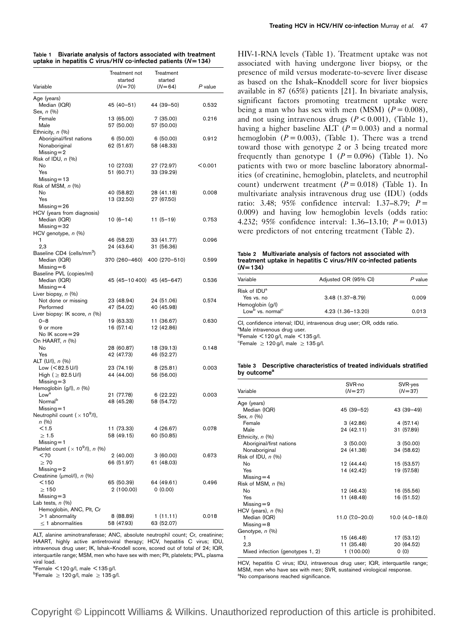| Table 1 | Bivariate analysis of factors associated with treatment        |  |  |  |
|---------|----------------------------------------------------------------|--|--|--|
|         | uptake in hepatitis C virus/HIV co-infected patients $(N=134)$ |  |  |  |

|                                                     | Treatment not               | Treatment              |         |
|-----------------------------------------------------|-----------------------------|------------------------|---------|
| Variable                                            | started<br>$(N=70)$         | started<br>$(N=64)$    | P value |
|                                                     |                             |                        |         |
| Age (years)<br>Median (IQR)                         | 45 (40 - 51)                | 44 (39–50)             | 0.532   |
| Sex, n (%)                                          |                             |                        |         |
| Female                                              | 13 (65.00)                  | 7(35.00)               | 0.216   |
| Male                                                | 57 (50.00)                  | 57 (50.00)             |         |
| Ethnicity, n (%)                                    |                             |                        | 0.912   |
| Aboriginal/first nations<br>Nonaboriginal           | 6(50.00)<br>62 (51.67)      | 6(50.00)<br>58 (48.33) |         |
| $Missing = 2$                                       |                             |                        |         |
| Risk of IDU, $n$ $(\%)$                             |                             |                        |         |
| No<br>Yes                                           | 10 (27.03)<br>51 (60.71)    | 27 (72.97)             | < 0.001 |
| $Missing = 13$                                      |                             | 33 (39.29)             |         |
| Risk of MSM, n (%)                                  |                             |                        |         |
| No                                                  | 40 (58.82)                  | 28 (41.18)             | 0.008   |
| Yes                                                 | 13 (32.50)                  | 27 (67.50)             |         |
| $Missing = 26$<br>HCV (years from diagnosis)        |                             |                        |         |
| Median (IQR)                                        | $10(6-14)$                  | $11(5-19)$             | 0.753   |
| $Missing = 32$                                      |                             |                        |         |
| HCV genotype, n (%)                                 |                             |                        |         |
| 1                                                   | 46 (58.23)                  | 33 (41.77)             | 0.096   |
| 2,3<br>Baseline CD4 (cells/mm <sup>3</sup> )        | 24 (43.64)                  | 31 (56.36)             |         |
| Median (IQR)                                        | 370 (260-460) 400 (270-510) |                        | 0.599   |
| $Missing = 6$                                       |                             |                        |         |
| Baseline PVL (copies/ml)                            |                             |                        |         |
| Median (IQR)<br>$Missing = 4$                       | 45 (45-10 400) 45 (45-647)  |                        | 0.536   |
| Liver biopsy, $n$ (%)                               |                             |                        |         |
| Not done or missing                                 | 23 (48.94)                  | 24 (51.06)             | 0.574   |
| Performed                                           | 47 (54.02)                  | 40 (45.98)             |         |
| Liver biopsy: IK score, n (%)<br>$0 - 8$            | 19 (63.33)                  | 11 (36.67)             | 0.630   |
| 9 or more                                           | 16 (57.14)                  | 12 (42.86)             |         |
| No IK score=29                                      |                             |                        |         |
| On HAART, n (%)                                     |                             |                        |         |
| No                                                  | 28 (60.87)                  | 18 (39.13)             | 0.148   |
| Yes<br>ALT (U/I), n (%)                             | 42 (47.73)                  | 46 (52.27)             |         |
| Low (<82.5U/l)                                      | 23 (74.19)                  | 8(25.81)               | 0.003   |
| $High ( \geq 82.5 U/l)$                             | 44 (44.00)                  | 56 (56.00)             |         |
| $Missing = 3$                                       |                             |                        |         |
| Hemoglobin $(g/l)$ , $n$ $(\%)$<br>Low <sup>a</sup> | 21 (77.78)                  | 6 (22.22)              | 0.003   |
| Normal <sup>b</sup>                                 | 48 (45.28)                  | 58 (54.72)             |         |
| $Missing = 1$                                       |                             |                        |         |
| Neutrophil count $(x 109/I)$ ,                      |                             |                        |         |
| n (%)<br>$<$ 1.5                                    |                             | 4 (26.67)              |         |
| $\geq 1.5$                                          | 11 (73.33)<br>58 (49.15)    | 60 (50.85)             | 0.078   |
| $Missing = 1$                                       |                             |                        |         |
| Platelet count $(x 10^9/l)$ , n $(%)$               |                             |                        |         |
| < 70                                                | 2 (40.00)                   | 3 (60.00)              | 0.673   |
| $\geq 70$<br>$Missing = 2$                          | 66 (51.97)                  | 61 (48.03)             |         |
| Creatinine (μmol/l), <i>n</i> (%)                   |                             |                        |         |
| $<$ 150                                             | 65 (50.39)                  | 64 (49.61)             | 0.496   |
| $\geq 150$                                          | 2 (100.00)                  | 0(0.00)                |         |
| $Missing = 3$<br>Lab tests, $n$ $(\%)$              |                             |                        |         |
| Hemoglobin, ANC, Plt, Cr                            |                             |                        |         |
| >1 abnormality                                      | 8 (88.89)                   | 1(11.11)               | 0.018   |
| $\leq$ 1 abnormalities                              | 58 (47.93)                  | 63 (52.07)             |         |

ALT, alanine aminotransferase; ANC, absolute neutrophil count; Cr, creatinine; HAART, highly active antiretroviral therapy; HCV, hepatitis C virus; IDU, intravenous drug user; IK, Ishak–Knodell score, scored out of total of 24; IQR, interquartile range; MSM, men who have sex with men; Plt, platelets; PVL, plasma viral load.

 $^{\circ}$ Female  $<$  120 g/l, male  $<$  135 g/l.

 $\mathrm{^{b}Female} \geq 120 \mathrm{g/l}$ , male  $\geq 135 \mathrm{g/l}$ .

HIV-1-RNA levels (Table 1). Treatment uptake was not associated with having undergone liver biopsy, or the presence of mild versus moderate-to-severe liver disease as based on the Ishak–Knoddell score for liver biopsies available in 87 (65%) patients [21]. In bivariate analysis, significant factors promoting treatment uptake were being a man who has sex with men (MSM)  $(P = 0.008)$ , and not using intravenous drugs  $(P < 0.001)$ , (Table 1), having a higher baseline ALT ( $P = 0.003$ ) and a normal hemoglobin  $(P = 0.003)$ , (Table 1). There was a trend toward those with genotype 2 or 3 being treated more frequently than genotype 1 ( $P = 0.096$ ) (Table 1). No patients with two or more baseline laboratory abnormalities (of creatinine, hemoglobin, platelets, and neutrophil count) underwent treatment  $(P = 0.018)$  (Table 1). In multivariate analysis intravenous drug use (IDU) (odds ratio: 3.48; 95% confidence interval: 1.37–8.79;  $P =$ 0.009) and having low hemoglobin levels (odds ratio: 4.232; 95% confidence interval: 1.36–13.10;  $P = 0.013$ ) were predictors of not entering treatment (Table 2).

Table 2 Multivariate analysis of factors not associated with treatment uptake in hepatitis C virus/HIV co-infected patients  $(N = 134)$ 

| Variable                                                     | Adjusted OR (95% CI) | P value |
|--------------------------------------------------------------|----------------------|---------|
| Risk of IDU <sup>a</sup><br>Yes vs. no                       | $3.48(1.37 - 8.79)$  | 0.009   |
| Hemoglobin (g/l)<br>Low <sup>b</sup> vs. normal <sup>c</sup> | 4.23 (1.36-13.20)    | 0.013   |

CI, confidence interval; IDU, intravenous drug user; OR, odds ratio.

<sup>a</sup>Male intravenous drug user.

 $<sup>b</sup>$ Female  $<$  120 g/l, male  $<$  135 g/l.</sup>

 $c$ Female  $\geq 120$  g/l, male  $\geq 135$  g/l.

Table 3 Descriptive characteristics of treated individuals stratified by outcome<sup>®</sup>

| Variable                         | SVR-no<br>$(N = 27)$ | SVR-yes<br>$(N = 37)$ |
|----------------------------------|----------------------|-----------------------|
|                                  |                      |                       |
| Age (years)                      |                      |                       |
| Median (IQR)                     | 45 (39–52)           | 43 (39-49)            |
| Sex, $n$ $(\%)$                  |                      |                       |
| Female                           | 3(42.86)             | 4(57.14)              |
| Male                             | 24 (42.11)           | 31 (57.89)            |
| Ethnicity, $n$ (%)               |                      |                       |
| Aboriginal/first nations         | 3(50.00)             | 3(50.00)              |
| Nonaboriginal                    | 24 (41.38)           | 34 (58.62)            |
| Risk of IDU, $n$ $(\%)$          |                      |                       |
| No                               | 12 (44.44)           | 15 (53.57)            |
| Yes                              | 14 (42.42)           | 19 (57.58)            |
| Missing $=$ 4                    |                      |                       |
| Risk of MSM, $n$ $(\%)$          |                      |                       |
| No                               | 12 (46.43)           | 16 (55.56)            |
| Yes                              | 11 (48.48)           | 16 (51.52)            |
| $Missing = 9$                    |                      |                       |
| HCV (years), $n$ (%)             |                      |                       |
| Median (IQR)                     | 11.0 (7.0-20.0)      | $10.0 (4.0 - 18.0)$   |
| $Missing = 8$                    |                      |                       |
| Genotype, n (%)                  |                      |                       |
| 1                                | 15 (46.48)           | 17 (53.12)            |
| 2,3                              | 11 (35.48)           | 20 (64.52)            |
| Mixed infection (genotypes 1, 2) | 1(100.00)            | 0(0)                  |

HCV, hepatitis C virus; IDU, intravenous drug user; IQR, interquartile range; MSM, men who have sex with men; SVR, sustained virological response. <sup>a</sup>No comparisons reached significance.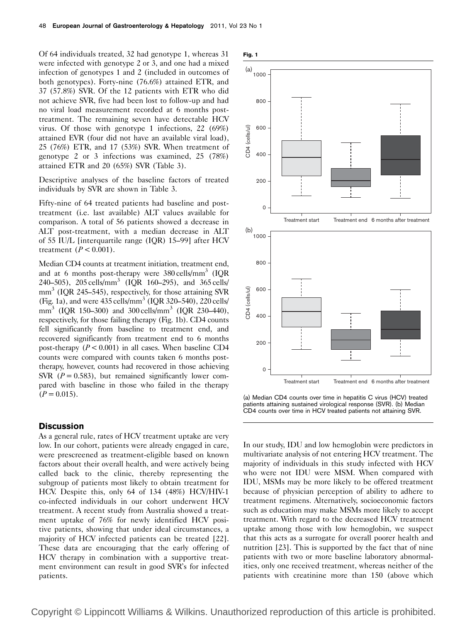Of 64 individuals treated, 32 had genotype 1, whereas 31 were infected with genotype 2 or 3, and one had a mixed infection of genotypes 1 and 2 (included in outcomes of both genotypes). Forty-nine (76.6%) attained ETR, and 37 (57.8%) SVR. Of the 12 patients with ETR who did not achieve SVR, five had been lost to follow-up and had no viral load measurement recorded at 6 months posttreatment. The remaining seven have detectable HCV virus. Of those with genotype 1 infections, 22 (69%) attained EVR (four did not have an available viral load), 25 (76%) ETR, and 17 (53%) SVR. When treatment of genotype 2 or 3 infections was examined, 25 (78%) attained ETR and 20 (65%) SVR (Table 3).

Descriptive analyses of the baseline factors of treated individuals by SVR are shown in Table 3.

Fifty-nine of 64 treated patients had baseline and posttreatment (i.e. last available) ALT values available for comparison. A total of 56 patients showed a decrease in ALT post-treatment, with a median decrease in ALT of 55 IU/L [interquartile range (IQR) 15–99] after HCV treatment  $(P < 0.001)$ .

Median CD4 counts at treatment initiation, treatment end, and at 6 months post-therapy were  $380 \text{ cells/mm}^3$  (IQR 240–505), 205 cells/mm<sup>3</sup> (IQR 160–295), and 365 cells/  $mm<sup>3</sup>$  (IQR 245–545), respectively, for those attaining SVR (Fig. 1a), and were  $435$  cells/mm<sup>3</sup> (IQR 320–540), 220 cells/ mm<sup>3</sup> (IQR 150–300) and 300 cells/mm<sup>3</sup> (IQR 230–440), respectively, for those failing therapy (Fig. 1b). CD4 counts fell significantly from baseline to treatment end, and recovered significantly from treatment end to 6 months post-therapy  $(P < 0.001)$  in all cases. When baseline CD4 counts were compared with counts taken 6 months posttherapy, however, counts had recovered in those achieving SVR  $(P = 0.583)$ , but remained significantly lower compared with baseline in those who failed in the therapy  $(P = 0.015)$ .

#### **Discussion**

As a general rule, rates of HCV treatment uptake are very low. In our cohort, patients were already engaged in care, were prescreened as treatment-eligible based on known factors about their overall health, and were actively being called back to the clinic, thereby representing the subgroup of patients most likely to obtain treatment for HCV. Despite this, only 64 of 134 (48%) HCV/HIV-1 co-infected individuals in our cohort underwent HCV treatment. A recent study from Australia showed a treatment uptake of 76% for newly identified HCV positive patients, showing that under ideal circumstances, a majority of HCV infected patients can be treated [22]. These data are encouraging that the early offering of HCV therapy in combination with a supportive treatment environment can result in good SVR's for infected patients.





(a) Median CD4 counts over time in hepatitis C virus (HCV) treated patients attaining sustained virological response (SVR). (b) Median CD4 counts over time in HCV treated patients not attaining SVR.

In our study, IDU and low hemoglobin were predictors in multivariate analysis of not entering HCV treatment. The majority of individuals in this study infected with HCV who were not IDU were MSM. When compared with IDU, MSMs may be more likely to be offered treatment because of physician perception of ability to adhere to treatment regimens. Alternatively, socioeconomic factors such as education may make MSMs more likely to accept treatment. With regard to the decreased HCV treatment uptake among those with low hemoglobin, we suspect that this acts as a surrogate for overall poorer health and nutrition [23]. This is supported by the fact that of nine patients with two or more baseline laboratory abnormalities, only one received treatment, whereas neither of the patients with creatinine more than 150 (above which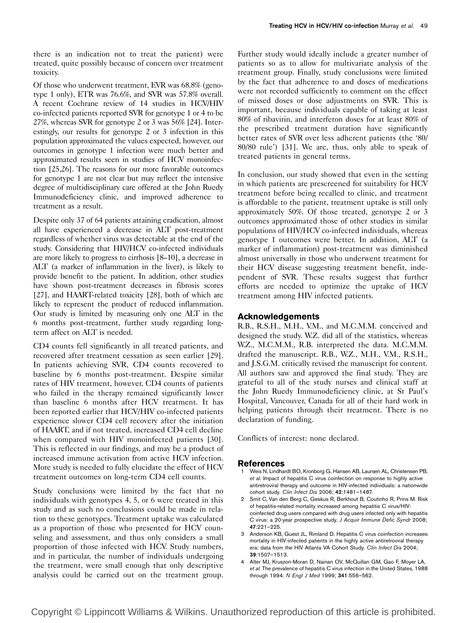there is an indication not to treat the patient) were treated, quite possibly because of concern over treatment toxicity.

Of those who underwent treatment, EVR was 68.8% (genotype 1 only), ETR was 76.6%, and SVR was 57.8% overall. A recent Cochrane review of 14 studies in HCV/HIV co-infected patients reported SVR for genotype 1 or 4 to be 27%, whereas SVR for genotype 2 or 3 was 56% [24]. Interestingly, our results for genotype 2 or 3 infection in this population approximated the values expected, however, our outcomes in genotype 1 infection were much better and approximated results seen in studies of HCV monoinfection [25,26]. The reasons for our more favorable outcomes for genotype 1 are not clear but may reflect the intensive degree of multidisciplinary care offered at the John Ruedy Immunodeficiency clinic, and improved adherence to treatment as a result.

Despite only 37 of 64 patients attaining eradication, almost all have experienced a decrease in ALT post-treatment regardless of whether virus was detectable at the end of the study. Considering that HIV/HCV co-infected individuals are more likely to progress to cirrhosis [8–10], a decrease in ALT (a marker of inflammation in the liver), is likely to provide benefit to the patient. In addition, other studies have shown post-treatment decreases in fibrosis scores [27], and HAART-related toxicity [28], both of which are likely to represent the product of reduced inflammation. Our study is limited by measuring only one ALT in the 6 months post-treatment, further study regarding longterm affect on ALT is needed.

CD4 counts fell significantly in all treated patients, and recovered after treatment cessation as seen earlier [29]. In patients achieving SVR, CD4 counts recovered to baseline by 6 months post-treatment. Despite similar rates of HIV treatment, however, CD4 counts of patients who failed in the therapy remained significantly lower than baseline 6 months after HCV treatment. It has been reported earlier that HCV/HIV co-infected patients experience slower CD4 cell recovery after the initiation of HAART, and if not treated, increased CD4 cell decline when compared with HIV monoinfected patients [30]. This is reflected in our findings, and may be a product of increased immune activation from active HCV infection. More study is needed to fully elucidate the effect of HCV treatment outcomes on long-term CD4 cell counts.

Study conclusions were limited by the fact that no individuals with genotypes 4, 5, or 6 were treated in this study and as such no conclusions could be made in relation to these genotypes. Treatment uptake was calculated as a proportion of those who presented for HCV counseling and assessment, and thus only considers a small proportion of those infected with HCV. Study numbers, and in particular, the number of individuals undergoing the treatment, were small enough that only descriptive analysis could be carried out on the treatment group.

Further study would ideally include a greater number of patients so as to allow for multivariate analysis of the treatment group. Finally, study conclusions were limited by the fact that adherence to and doses of medications were not recorded sufficiently to comment on the effect of missed doses or dose adjustments on SVR. This is important, because individuals capable of taking at least 80% of ribavirin, and interferon doses for at least 80% of the prescribed treatment duration have significantly better rates of SVR over less adherent patients (the '80/ 80/80 rule') [31]. We are, thus, only able to speak of treated patients in general terms.

In conclusion, our study showed that even in the setting in which patients are prescreened for suitability for HCV treatment before being recalled to clinic, and treatment is affordable to the patient, treatment uptake is still only approximately 50%. Of those treated, genotype 2 or 3 outcomes approximated those of other studies in similar populations of HIV/HCV co-infected individuals, whereas genotype 1 outcomes were better. In addition, ALT (a marker of inflammation) post-treatment was diminished almost universally in those who underwent treatment for their HCV disease suggesting treatment benefit, independent of SVR. These results suggest that further efforts are needed to optimize the uptake of HCV treatment among HIV infected patients.

## Acknowledgements

R.B., R.S.H., M.H., V.M., and M.C.M.M. conceived and designed the study. W.Z. did all of the statistics, whereas W.Z., M.C.M.M., R.B. interpreted the data. M.C.M.M. drafted the manuscript. R.B., W.Z., M.H., V.M., R.S.H., and J.S.G.M. critically revised the manuscript for content. All authors saw and approved the final study. They are grateful to all of the study nurses and clinical staff at the John Ruedy Immunodeficiency clinic, at St Paul's Hospital, Vancouver, Canada for all of their hard work in helping patients through their treatment. There is no declaration of funding.

Conflicts of interest: none declared.

## References

- 1 Weis N, Lindhardt BO, Kronborg G, Hansen AB, Laursen AL, Christensen PB, et al. Impact of hepatitis C virus coinfection on response to highly active antiretroviral therapy and outcome in HIV-infected individuals: a nationwide cohort study. Clin Infect Dis 2006; 42:1481–1487.
- 2 Smit C, Van den Berg C, Geskus R, Berkhout B, Coutinho R, Prins M. Risk of hepatitis-related mortality increased among hepatitis C virus/HIVcoinfected drug users compared with drug users infected only with hepatitis C virus: a 20-year prospective study. J Acquir Immune Defic Syndr 2008; 47:221–225.
- 3 Anderson KB, Guest JL, Rimland D. Hepatitis C virus coinfection increases mortality in HIV-infected patients in the highly active antiretroviral therapy era: data from the HIV Atlanta VA Cohort Study. Clin Infect Dis 2004; 39:1507–1513.
- 4 Alter MJ, Kruszon-Moran D, Nainan OV, McQuillan GM, Gao F, Moyer LA, et al. The prevalence of hepatitis C virus infection in the United States, 1988 through 1994. N Engl J Med 1999; 341:556–562.